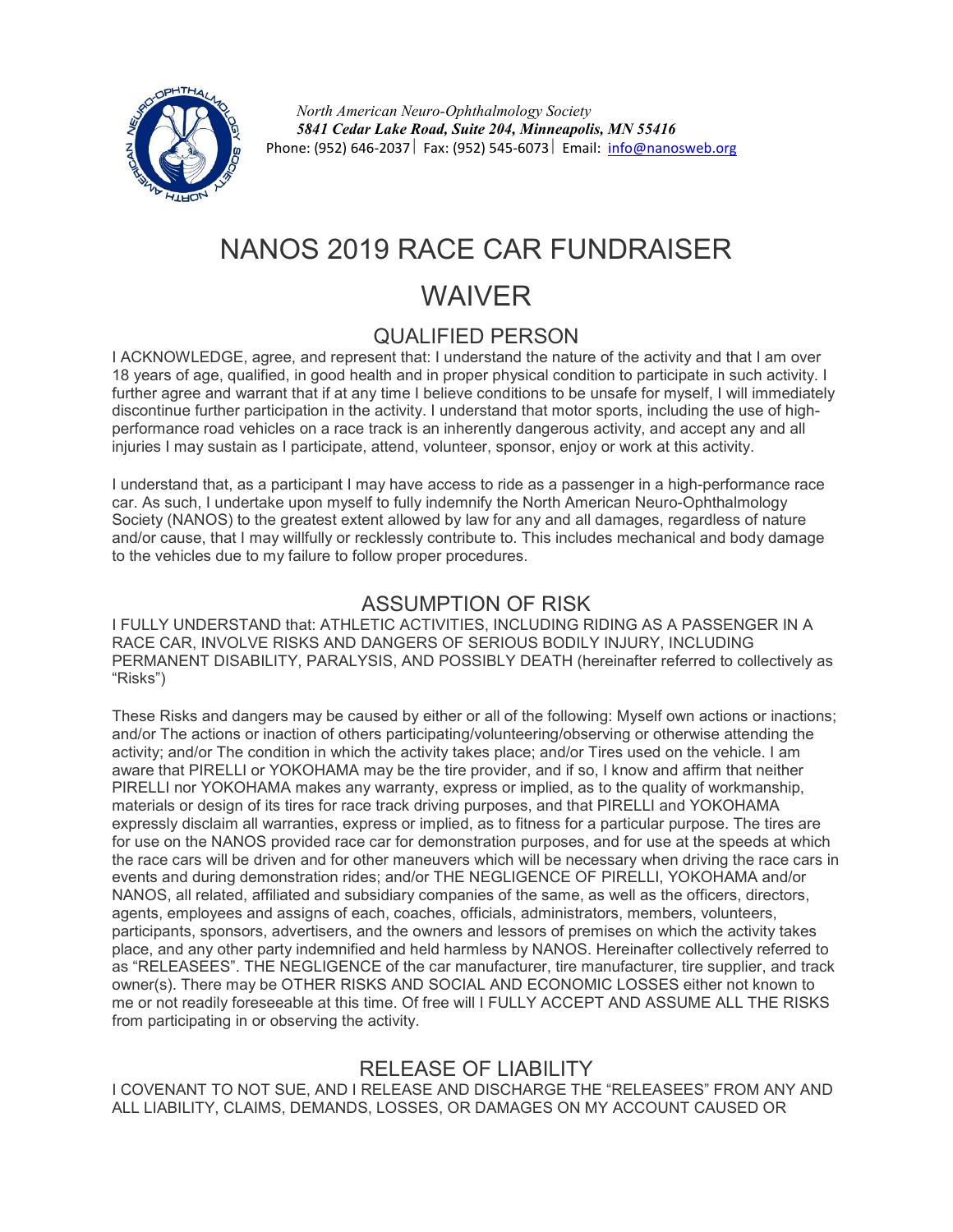

*North American Neuro-Ophthalmology Society 5841 Cedar Lake Road, Suite 204, Minneapolis, MN 55416* Phone: (952) 646-2037 Fax: (952) 545-6073 Email: [info@nanosweb.org](mailto:info@nanosweb.org)

# NANOS 2019 RACE CAR FUNDRAISER

# WAIVER

## QUALIFIED PERSON

I ACKNOWLEDGE, agree, and represent that: I understand the nature of the activity and that I am over 18 years of age, qualified, in good health and in proper physical condition to participate in such activity. I further agree and warrant that if at any time I believe conditions to be unsafe for myself, I will immediately discontinue further participation in the activity. I understand that motor sports, including the use of highperformance road vehicles on a race track is an inherently dangerous activity, and accept any and all injuries I may sustain as I participate, attend, volunteer, sponsor, enjoy or work at this activity.

I understand that, as a participant I may have access to ride as a passenger in a high-performance race car. As such, I undertake upon myself to fully indemnify the North American Neuro-Ophthalmology Society (NANOS) to the greatest extent allowed by law for any and all damages, regardless of nature and/or cause, that I may willfully or recklessly contribute to. This includes mechanical and body damage to the vehicles due to my failure to follow proper procedures.

#### ASSUMPTION OF RISK

I FULLY UNDERSTAND that: ATHLETIC ACTIVITIES, INCLUDING RIDING AS A PASSENGER IN A RACE CAR, INVOLVE RISKS AND DANGERS OF SERIOUS BODILY INJURY, INCLUDING PERMANENT DISABILITY, PARALYSIS, AND POSSIBLY DEATH (hereinafter referred to collectively as "Risks")

These Risks and dangers may be caused by either or all of the following: Myself own actions or inactions; and/or The actions or inaction of others participating/volunteering/observing or otherwise attending the activity; and/or The condition in which the activity takes place; and/or Tires used on the vehicle. I am aware that PIRELLI or YOKOHAMA may be the tire provider, and if so, I know and affirm that neither PIRELLI nor YOKOHAMA makes any warranty, express or implied, as to the quality of workmanship, materials or design of its tires for race track driving purposes, and that PIRELLI and YOKOHAMA expressly disclaim all warranties, express or implied, as to fitness for a particular purpose. The tires are for use on the NANOS provided race car for demonstration purposes, and for use at the speeds at which the race cars will be driven and for other maneuvers which will be necessary when driving the race cars in events and during demonstration rides; and/or THE NEGLIGENCE OF PIRELLI, YOKOHAMA and/or NANOS, all related, affiliated and subsidiary companies of the same, as well as the officers, directors, agents, employees and assigns of each, coaches, officials, administrators, members, volunteers, participants, sponsors, advertisers, and the owners and lessors of premises on which the activity takes place, and any other party indemnified and held harmless by NANOS. Hereinafter collectively referred to as "RELEASEES". THE NEGLIGENCE of the car manufacturer, tire manufacturer, tire supplier, and track owner(s). There may be OTHER RISKS AND SOCIAL AND ECONOMIC LOSSES either not known to me or not readily foreseeable at this time. Of free will I FULLY ACCEPT AND ASSUME ALL THE RISKS from participating in or observing the activity.

## RELEASE OF LIABILITY

I COVENANT TO NOT SUE, AND I RELEASE AND DISCHARGE THE "RELEASEES" FROM ANY AND ALL LIABILITY, CLAIMS, DEMANDS, LOSSES, OR DAMAGES ON MY ACCOUNT CAUSED OR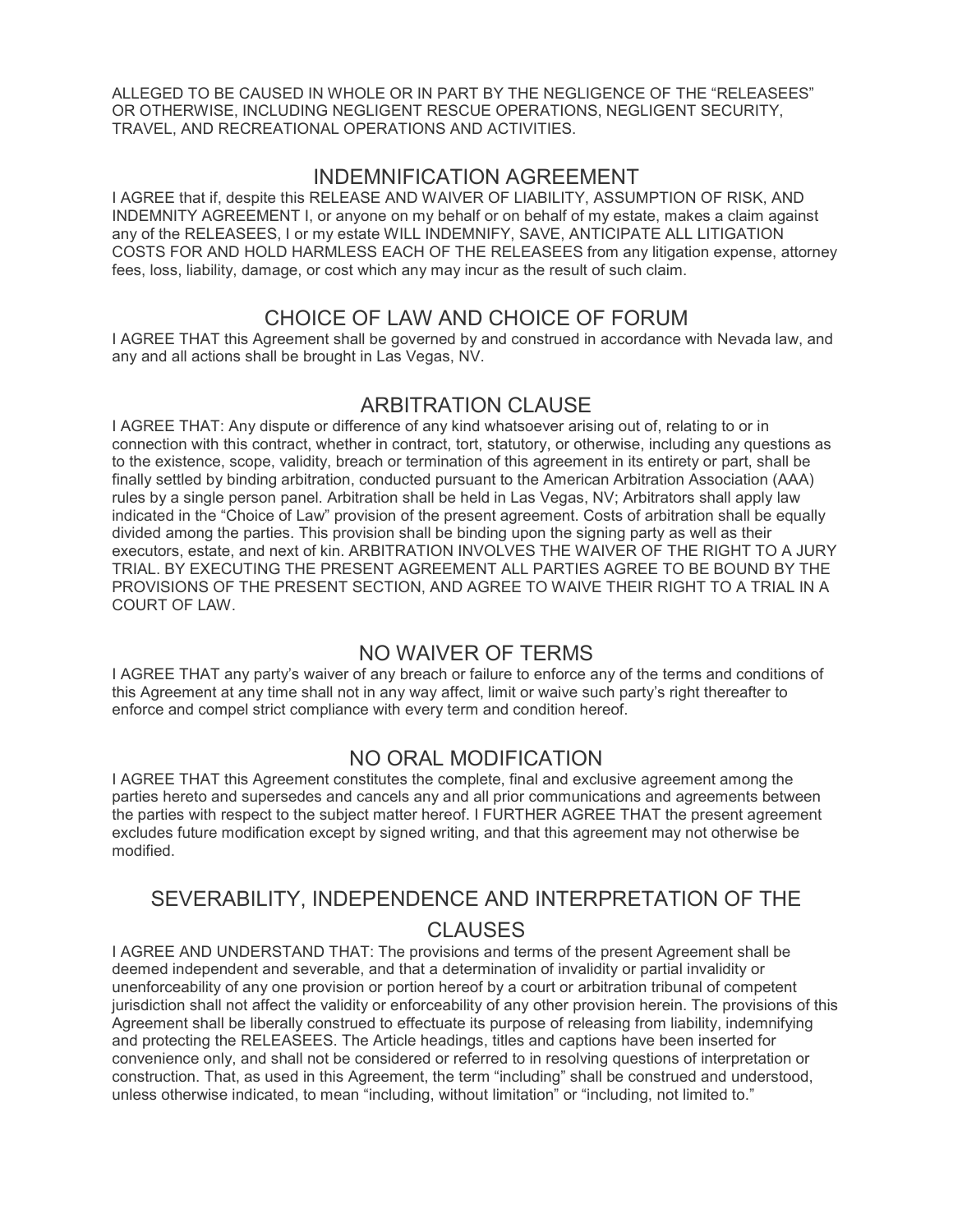ALLEGED TO BE CAUSED IN WHOLE OR IN PART BY THE NEGLIGENCE OF THE "RELEASEES" OR OTHERWISE, INCLUDING NEGLIGENT RESCUE OPERATIONS, NEGLIGENT SECURITY, TRAVEL, AND RECREATIONAL OPERATIONS AND ACTIVITIES.

#### INDEMNIFICATION AGREEMENT

I AGREE that if, despite this RELEASE AND WAIVER OF LIABILITY, ASSUMPTION OF RISK, AND INDEMNITY AGREEMENT I, or anyone on my behalf or on behalf of my estate, makes a claim against any of the RELEASEES, I or my estate WILL INDEMNIFY, SAVE, ANTICIPATE ALL LITIGATION COSTS FOR AND HOLD HARMLESS EACH OF THE RELEASEES from any litigation expense, attorney fees, loss, liability, damage, or cost which any may incur as the result of such claim.

#### CHOICE OF LAW AND CHOICE OF FORUM

I AGREE THAT this Agreement shall be governed by and construed in accordance with Nevada law, and any and all actions shall be brought in Las Vegas, NV.

#### ARBITRATION CLAUSE

I AGREE THAT: Any dispute or difference of any kind whatsoever arising out of, relating to or in connection with this contract, whether in contract, tort, statutory, or otherwise, including any questions as to the existence, scope, validity, breach or termination of this agreement in its entirety or part, shall be finally settled by binding arbitration, conducted pursuant to the American Arbitration Association (AAA) rules by a single person panel. Arbitration shall be held in Las Vegas, NV; Arbitrators shall apply law indicated in the "Choice of Law" provision of the present agreement. Costs of arbitration shall be equally divided among the parties. This provision shall be binding upon the signing party as well as their executors, estate, and next of kin. ARBITRATION INVOLVES THE WAIVER OF THE RIGHT TO A JURY TRIAL. BY EXECUTING THE PRESENT AGREEMENT ALL PARTIES AGREE TO BE BOUND BY THE PROVISIONS OF THE PRESENT SECTION, AND AGREE TO WAIVE THEIR RIGHT TO A TRIAL IN A COURT OF LAW.

#### NO WAIVER OF TERMS

I AGREE THAT any party's waiver of any breach or failure to enforce any of the terms and conditions of this Agreement at any time shall not in any way affect, limit or waive such party's right thereafter to enforce and compel strict compliance with every term and condition hereof.

#### NO ORAL MODIFICATION

I AGREE THAT this Agreement constitutes the complete, final and exclusive agreement among the parties hereto and supersedes and cancels any and all prior communications and agreements between the parties with respect to the subject matter hereof. I FURTHER AGREE THAT the present agreement excludes future modification except by signed writing, and that this agreement may not otherwise be modified.

# SEVERABILITY, INDEPENDENCE AND INTERPRETATION OF THE CLAUSES

I AGREE AND UNDERSTAND THAT: The provisions and terms of the present Agreement shall be deemed independent and severable, and that a determination of invalidity or partial invalidity or unenforceability of any one provision or portion hereof by a court or arbitration tribunal of competent jurisdiction shall not affect the validity or enforceability of any other provision herein. The provisions of this Agreement shall be liberally construed to effectuate its purpose of releasing from liability, indemnifying and protecting the RELEASEES. The Article headings, titles and captions have been inserted for convenience only, and shall not be considered or referred to in resolving questions of interpretation or construction. That, as used in this Agreement, the term "including" shall be construed and understood, unless otherwise indicated, to mean "including, without limitation" or "including, not limited to."